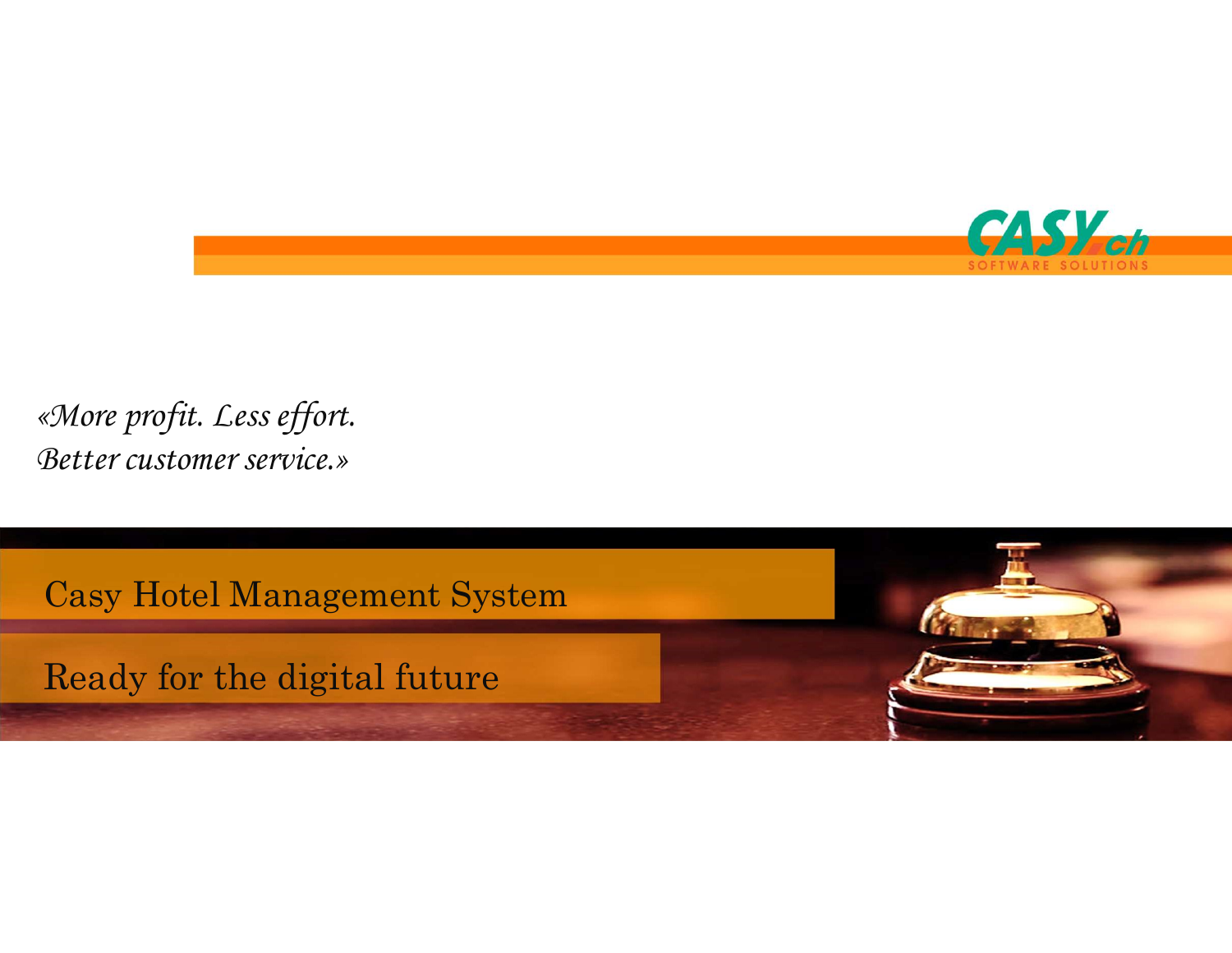

«More profit. Less effort. Better customer service.» More profit. Less effort.<br>Better customer service.»<br>Casy Hotel Management System<br>Ready for the digital future

Ready for the digital future

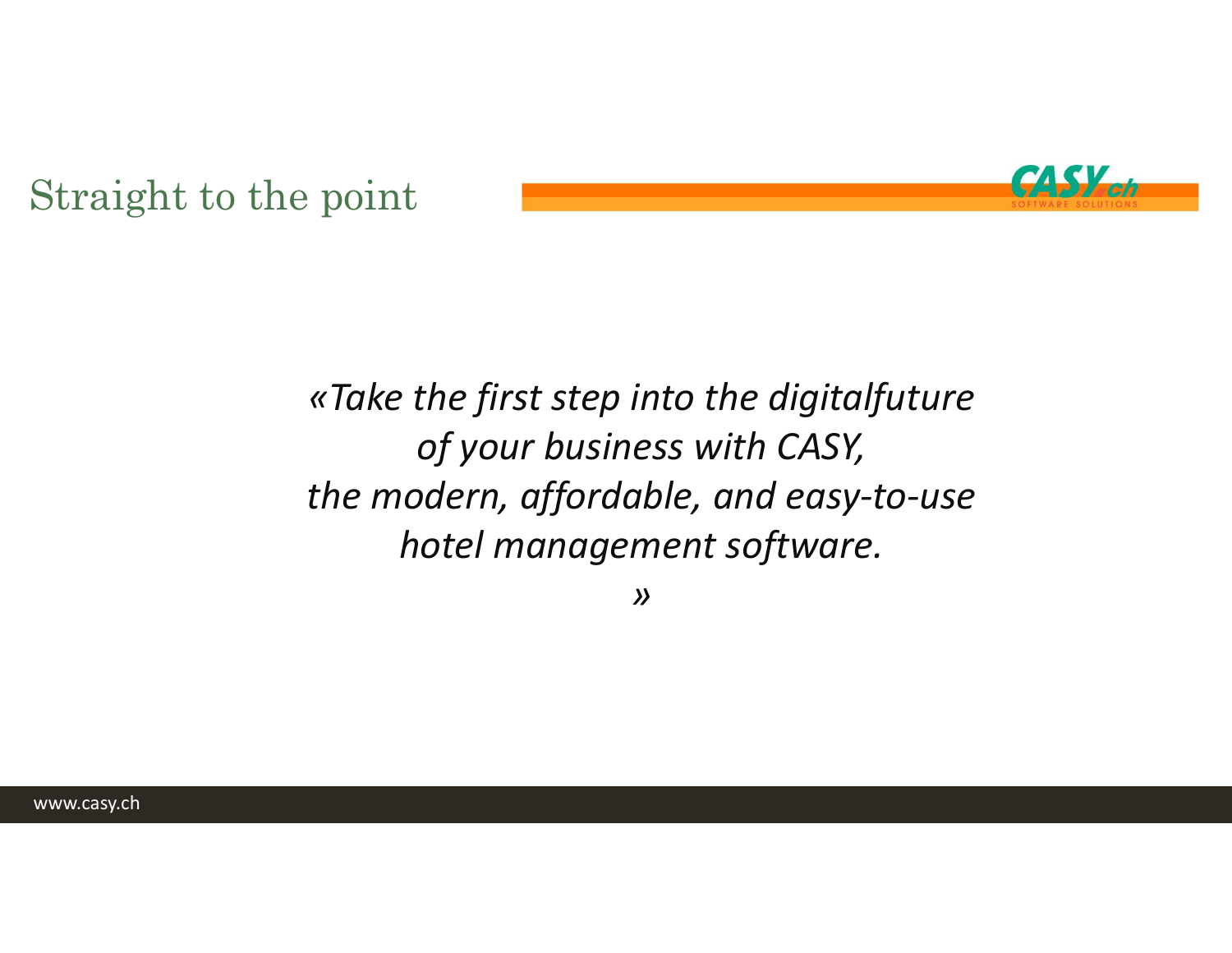

# Straight to the point

## «Take the first step into the digitalfuture of your business with CASY, the modern, affordable, and easy-to-use hotel management software.

»

www.casy.ch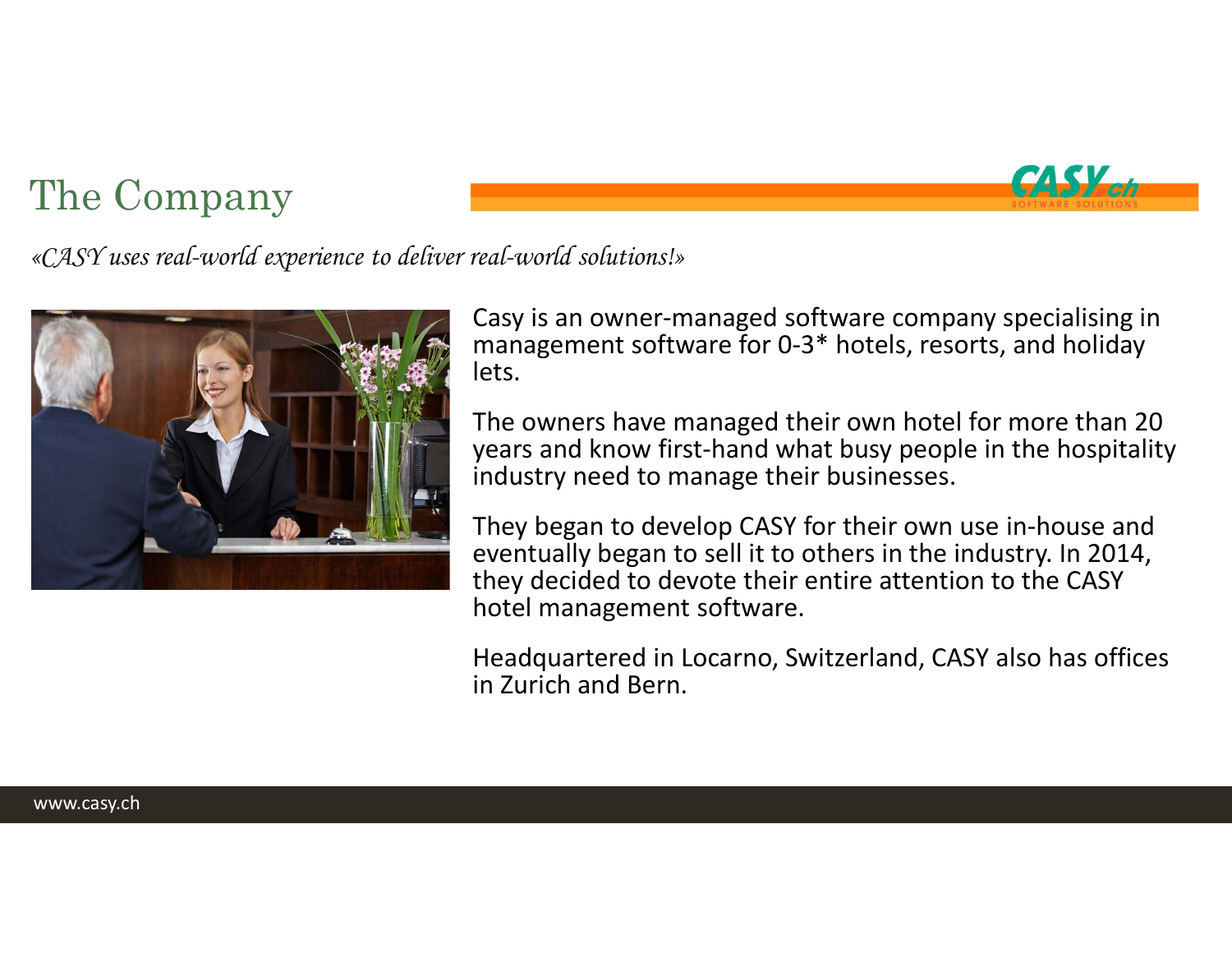## The Company



«CASY uses real-world experience to deliver real-world solutions!»



East-world solutions!»<br>Casy is an owner-managed software company specialising in<br>management software for 0-3\* hotels, resorts, and holiday<br>lets.<br>The owners have managed their own hotel for more than 20 management software for 0-3\* hotels, resorts, and holiday lets.

The owners have managed their own hotel for more than 20 years and know first-hand what busy people in the hospitality industry need to manage their businesses.

They began to develop CASY for their own use in-house and eventually began to sell it to others in the industry. In 2014, they decided to devote their entire attention to the CASY hotel management software.

Headquartered in Locarno, Switzerland, CASY also has offices in Zurich and Bern.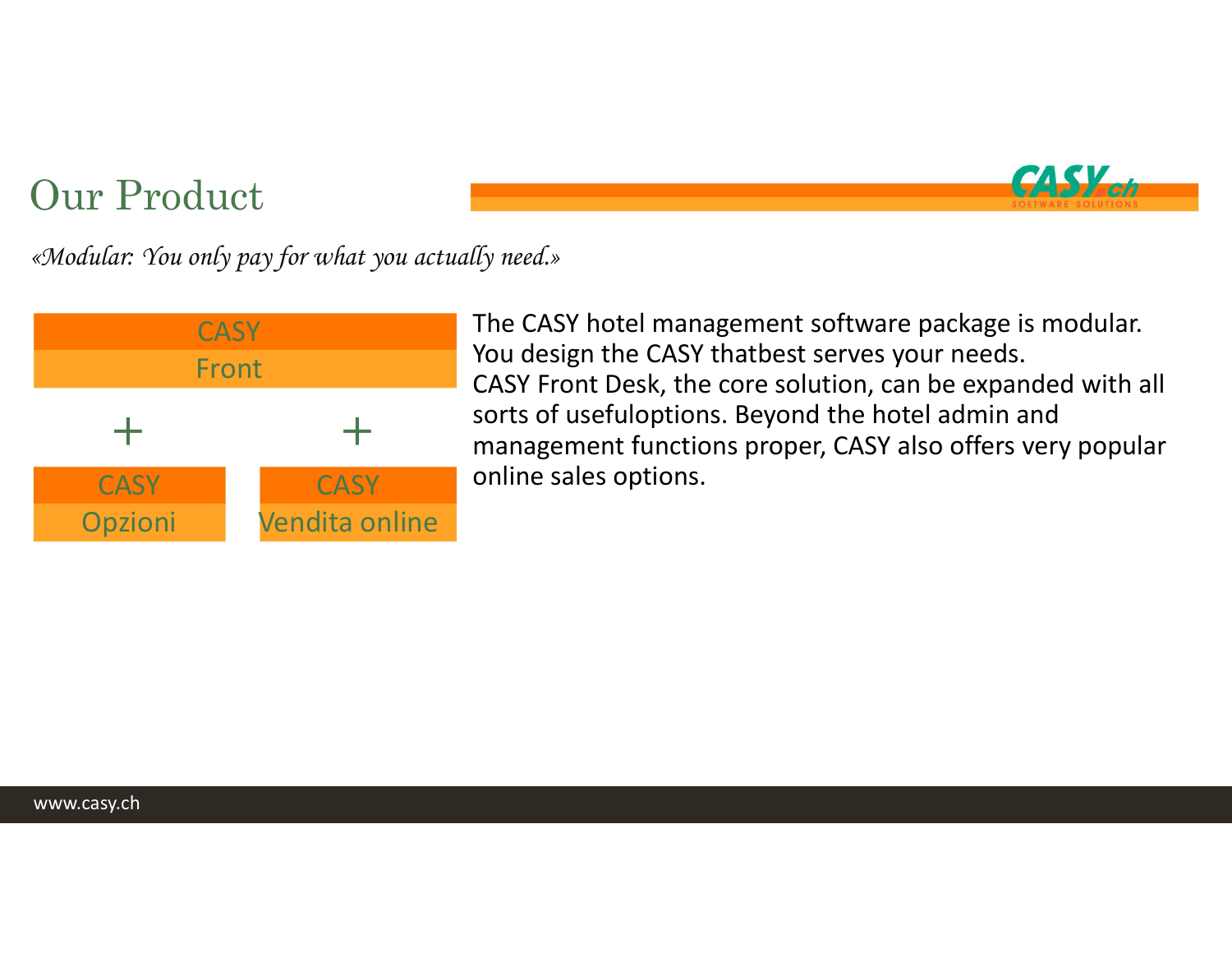

Our Product<br>«Modular: You only pay for what you actually need.» «Modular: You only pay for what you actually need.»



The CASY hotel management software package is modular. (**ASY Med.**<br>The CASY hotel management software package is modular.<br>You design the CASY thatbest serves your needs.<br>CASY Front Desk, the core solution, can be expanded with all<br>sorts of usefuloptions. Beyond the hotel admin CASY Front Desk, the core solution, can be expanded with all sorts of usefuloptions. Beyond the hotel admin and management functions proper, CASY also offers very popular online sales options. Example of the CASY hotel management softwood of the CASY hotel management softwood version.<br>
You design the CASY that best serve CASY Front Desk, the core solution,<br>
Sorts of usefuloptions. Beyond the<br>
management function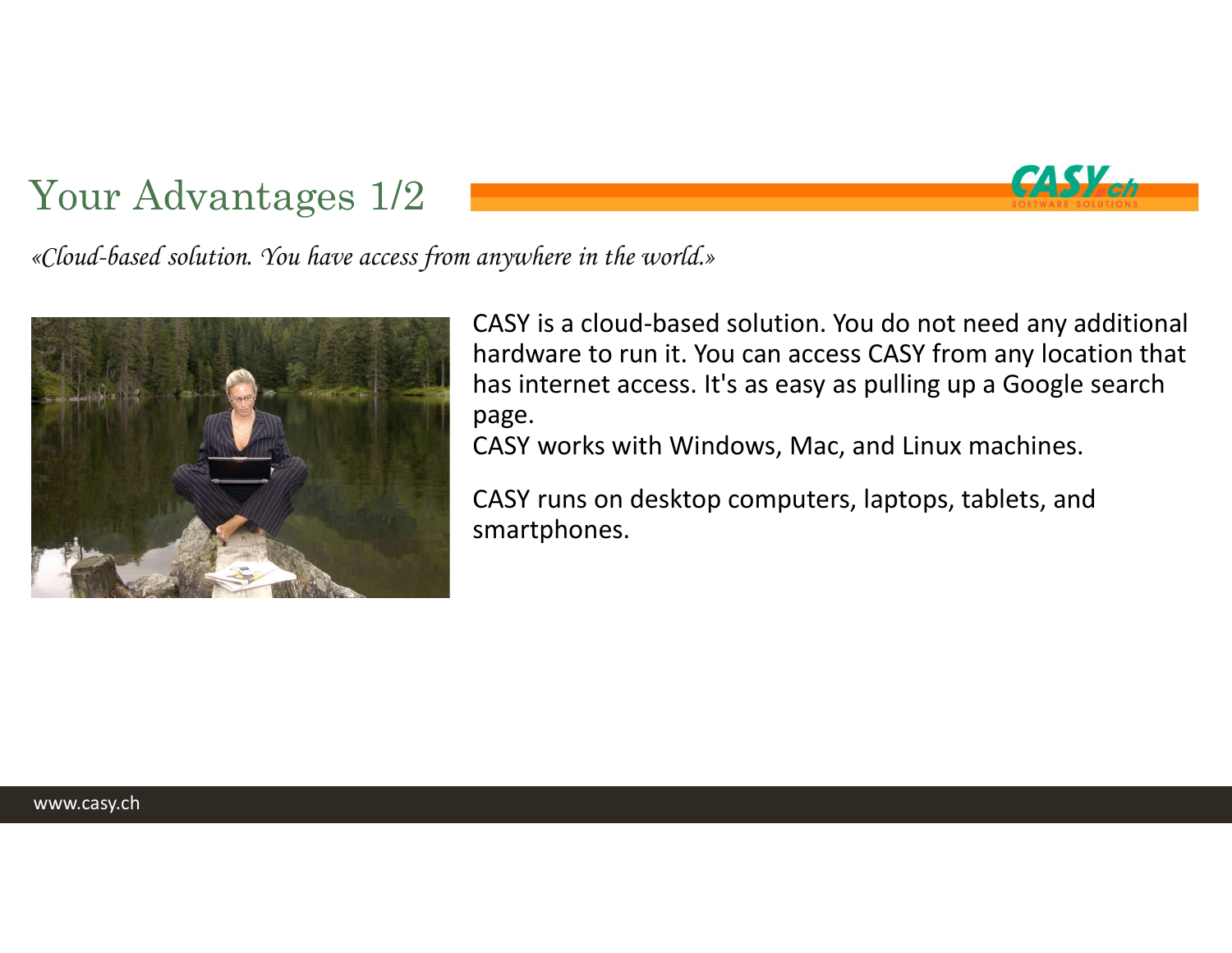Your Advantages 1/2<br>«Cloud-based solution. You have access from anywhere in the world.» «Cloud-based solution. You have access from anywhere in the world.»



CASY is a cloud-based solution. You do not need any additional hardware to run it. You can access CASY from any location that has internet access. It's as easy as pulling up a Google search page.

CASS Code

CASY works with Windows, Mac, and Linux machines.

CASY runs on desktop computers, laptops, tablets, and smartphones.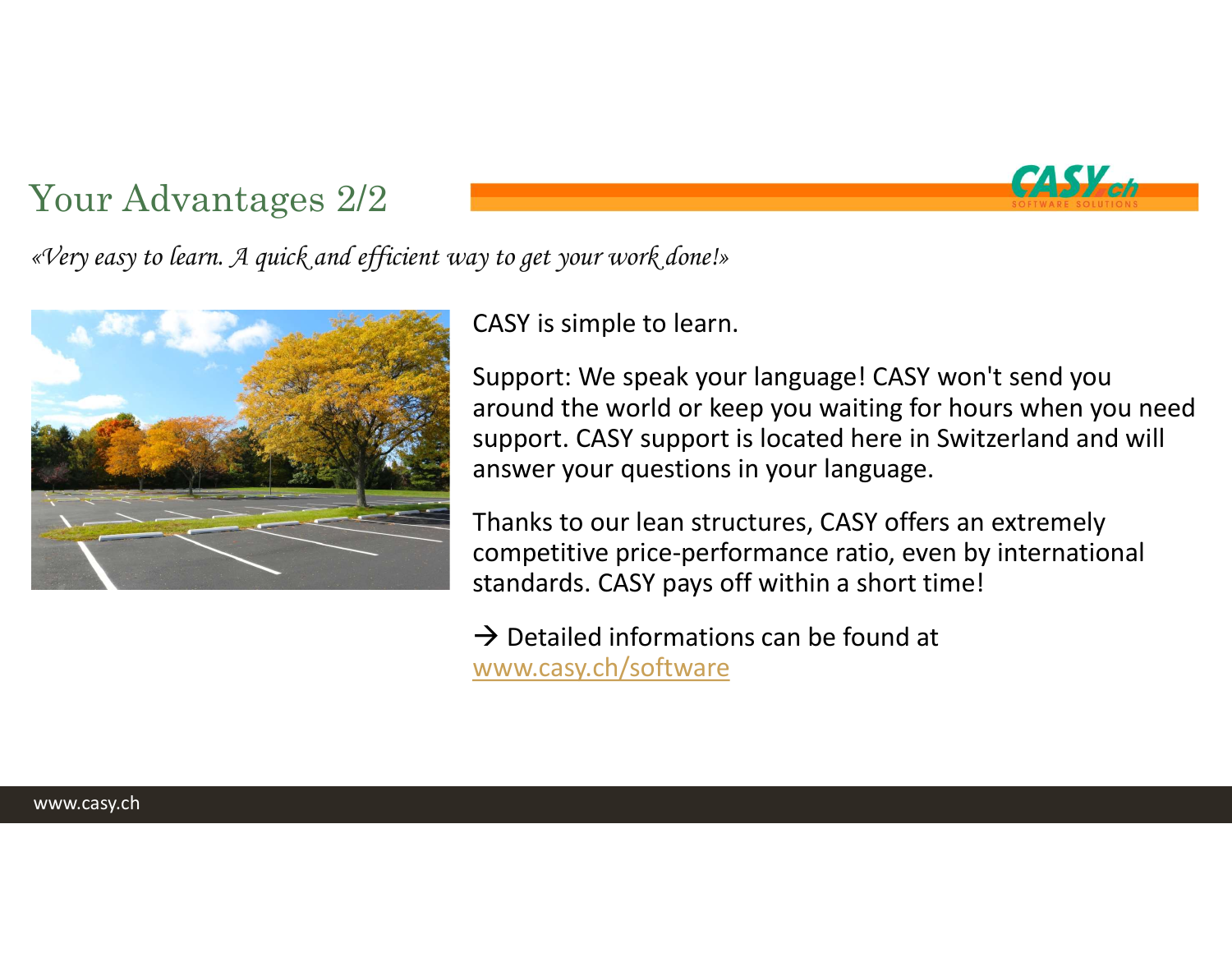

Your Advantages 2/2<br>Every easy to learn. A quick and efficient way to get your work done!» «Very easy to learn. A quick and efficient way to get your work done!»



CASY is simple to learn.

Support: We speak your language! CASY won't send you around the world or keep you waiting for hours when you need support. CASY support is located here in Switzerland and will answer your questions in your language. ty to get your work donel»<br>CASY is simple to learn.<br>Support: We speak your language! CASY won't send you<br>around the world or keep you waiting for hours when you need<br>support. CASY support is located here in Switzerland an

Thanks to our lean structures, CASY offers an extremely competitive price-performance ratio, even by international standards. CASY pays off within a short time!

www.casy.ch/software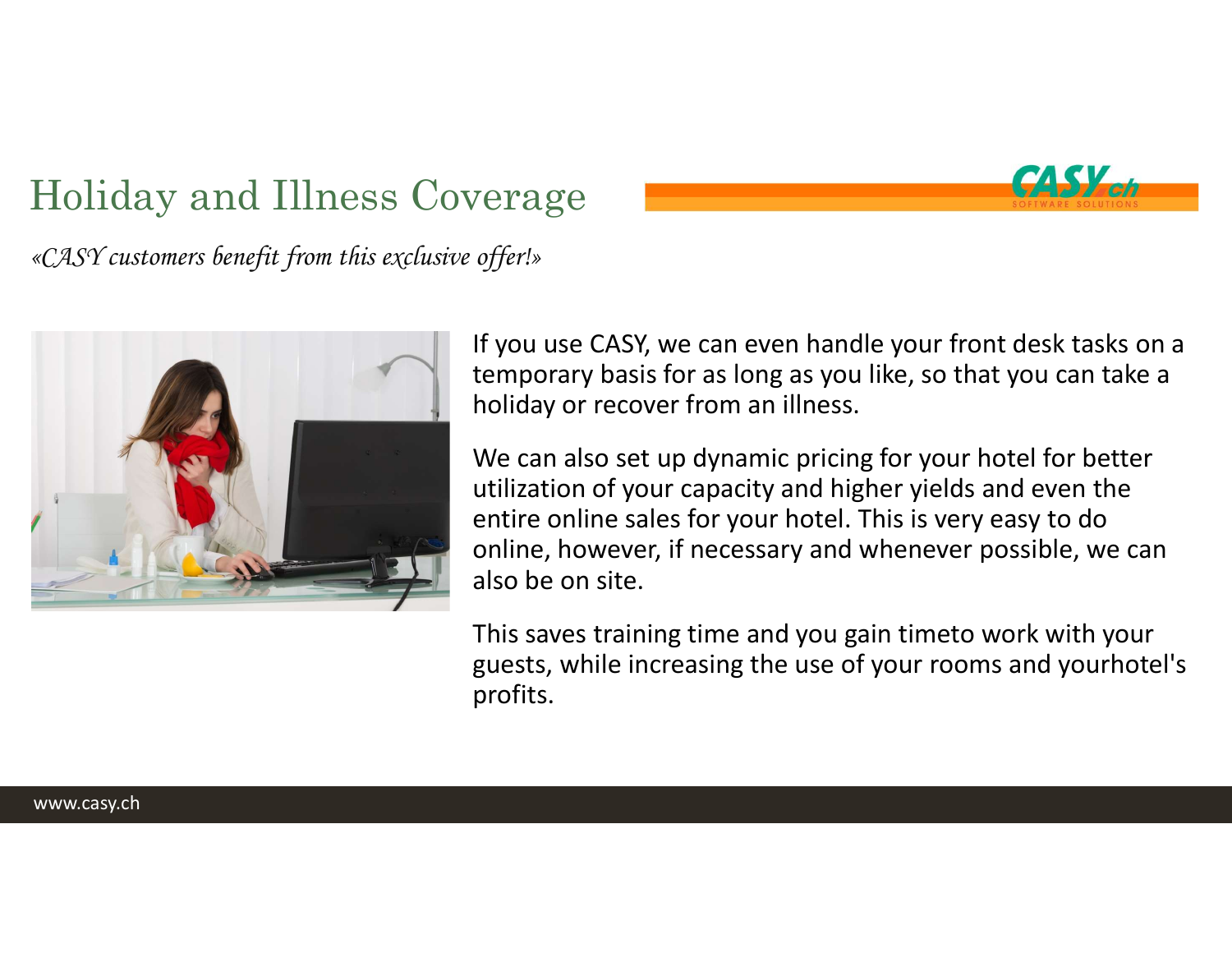# Holiday and Illness Coverage



«CASY customers benefit from this exclusive offer!»



If you use CASY, we can even handle your front desk tasks on a temporary basis for as long as you like, so that you can take a holiday or recover from an illness.

We can also set up dynamic pricing for your hotel for better utilization of your capacity and higher yields and even the entire online sales for your hotel. This is very easy to do online, however, if necessary and whenever possible, we can also be on site. offer!»<br>If you use CASY, we can even handle your front desk tasks on a<br>temporary basis for as long as you like, so that you can take a<br>holiday or recover from an illness.<br>We can also set up dynamic pricing for your hotel f

guests, while increasing the use of your rooms and yourhotel's profits.